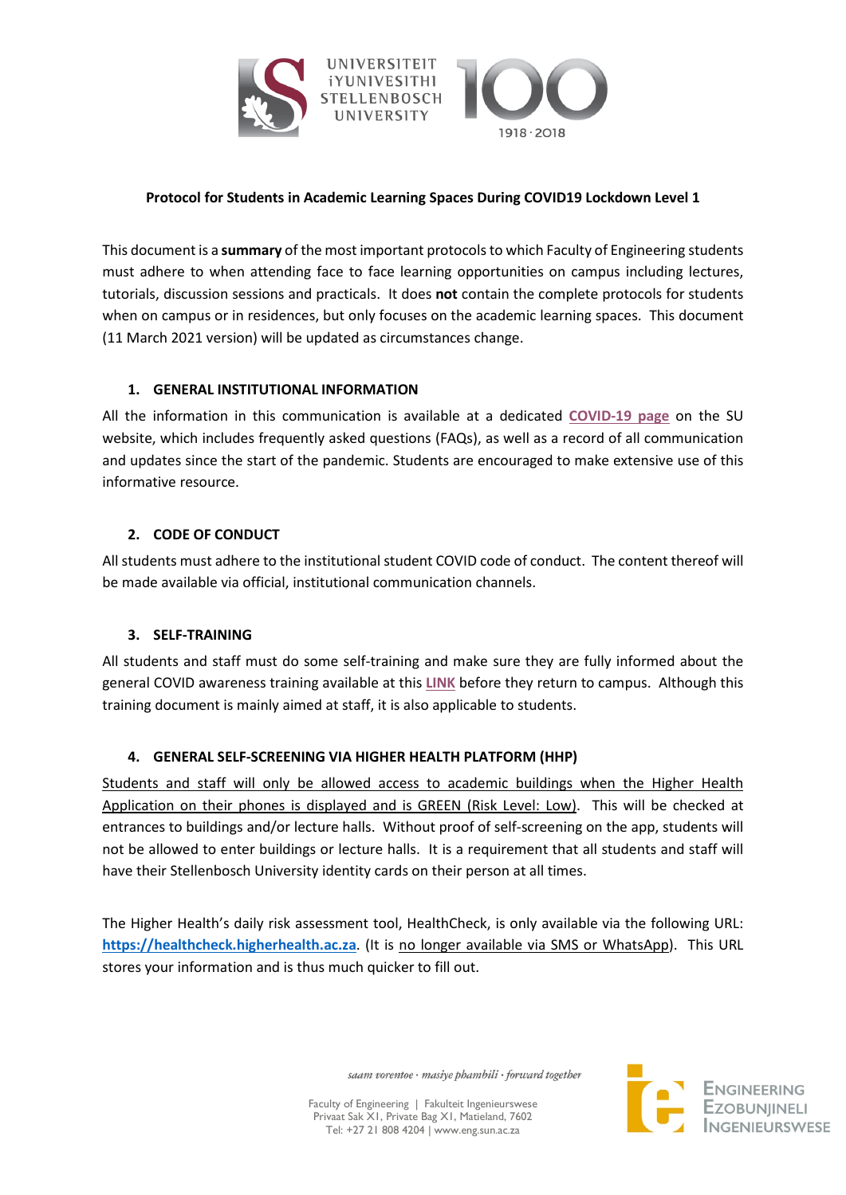

### **Protocol for Students in Academic Learning Spaces During COVID19 Lockdown Level 1**

This document is a **summary** of the most important protocols to which Faculty of Engineering students must adhere to when attending face to face learning opportunities on campus including lectures, tutorials, discussion sessions and practicals. It does **not** contain the complete protocols for students when on campus or in residences, but only focuses on the academic learning spaces. This document (11 March 2021 version) will be updated as circumstances change.

#### **1. GENERAL INSTITUTIONAL INFORMATION**

All the information in this communication is available at a dedicated **[COVID-19 page](https://eur03.safelinks.protection.outlook.com/?url=http%3A%2F%2Fstellenbosch.evlink2.net%2Fservlet%2Flink%2F31499%2F138919%2F384848%2F1405340&data=04%7C01%7C%7Cd272adc9c4dc4b69d7e808d8d2964855%7Ca6fa3b030a3c42588433a120dffcd348%7C0%7C0%7C637490890199232660%7CUnknown%7CTWFpbGZsb3d8eyJWIjoiMC4wLjAwMDAiLCJQIjoiV2luMzIiLCJBTiI6Ik1haWwiLCJXVCI6Mn0%3D%7C1000&sdata=DgkPgAtljAU%2FsojzRm%2FdNWBNmIZTZFaTJNwCfdNSxPE%3D&reserved=0)** on the SU website, which includes frequently asked questions (FAQs), as well as a record of all communication and updates since the start of the pandemic. Students are encouraged to make extensive use of this informative resource.

#### **2. CODE OF CONDUCT**

All students must adhere to the institutional student COVID code of conduct. The content thereof will be made available via official, institutional communication channels.

#### **3. SELF-TRAINING**

All students and staff must do some self-training and make sure they are fully informed about the general COVID awareness training available at this **[LINK](http://www.sun.ac.za/english/CampusHealth/_layouts/15/WopiFrame.aspx?sourcedoc=%7bC66618A9-B75C-4C63-8C7A-FA523DEBD219%7d&file=Document%203_COVID%2019%20Induction%20and%20Awareness.pptx&action=default)** before they return to campus. Although this training document is mainly aimed at staff, it is also applicable to students.

## **4. GENERAL SELF-SCREENING VIA HIGHER HEALTH PLATFORM (HHP)**

Students and staff will only be allowed access to academic buildings when the Higher Health Application on their phones is displayed and is GREEN (Risk Level: Low). This will be checked at entrances to buildings and/or lecture halls. Without proof of self-screening on the app, students will not be allowed to enter buildings or lecture halls. It is a requirement that all students and staff will have their Stellenbosch University identity cards on their person at all times.

The Higher Health's daily risk assessment tool, HealthCheck, is only available via the following URL: **[https://healthcheck.higherhealth.ac.za](https://eur03.safelinks.protection.outlook.com/?url=http%3A%2F%2Fstellenbosch.evlink2.net%2Fservlet%2Flink%2F31499%2F138919%2F384848%2F1405336&data=04%7C01%7C%7Cd272adc9c4dc4b69d7e808d8d2964855%7Ca6fa3b030a3c42588433a120dffcd348%7C0%7C0%7C637490890199222666%7CUnknown%7CTWFpbGZsb3d8eyJWIjoiMC4wLjAwMDAiLCJQIjoiV2luMzIiLCJBTiI6Ik1haWwiLCJXVCI6Mn0%3D%7C1000&sdata=Er4UguLkbSimc3NixPgX4aZc1VZaxtTqsEwVBceO43g%3D&reserved=0)**. (It is no longer available via SMS or WhatsApp). This URL stores your information and is thus much quicker to fill out.

saam vorentoe · masiye phambili · forward together

**ENGINEERING**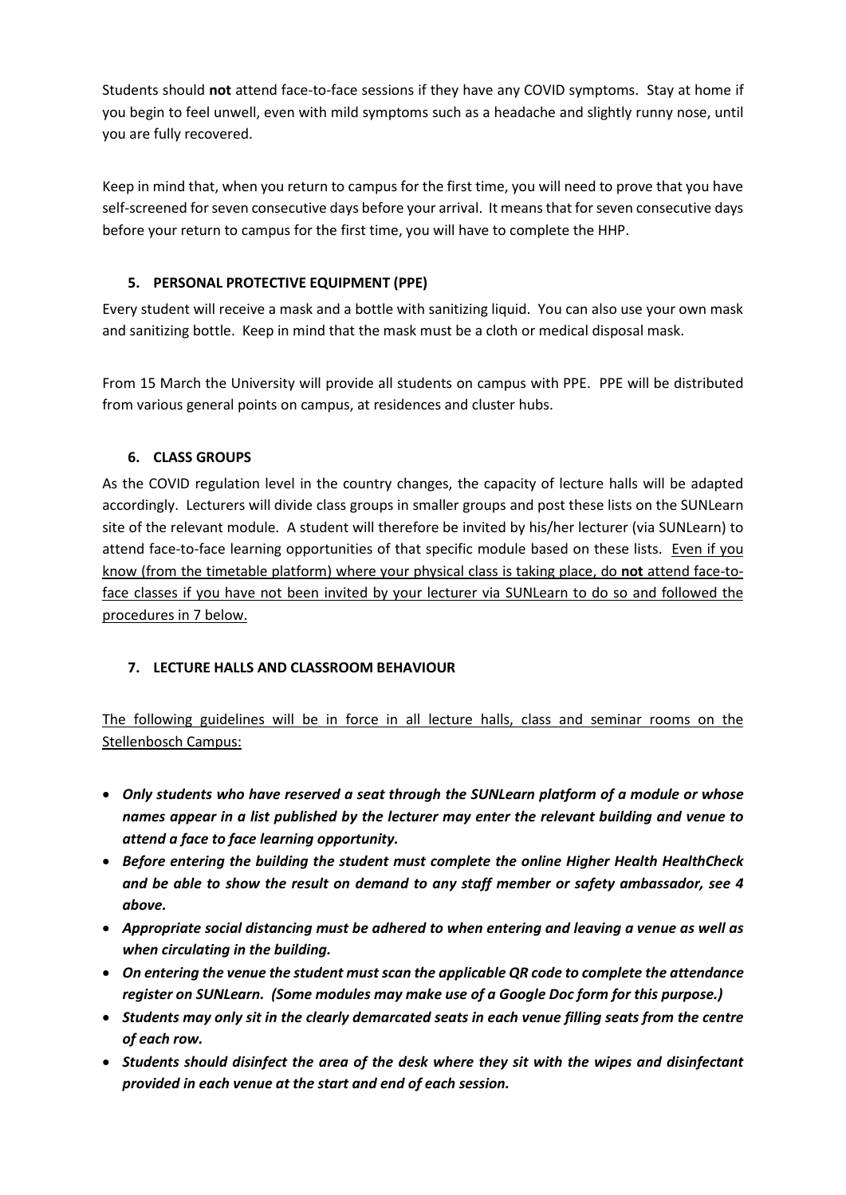Students should **not** attend face-to-face sessions if they have any COVID symptoms. Stay at home if you begin to feel unwell, even with mild symptoms such as a headache and slightly runny nose, until you are fully recovered.

Keep in mind that, when you return to campus for the first time, you will need to prove that you have self-screened for seven consecutive days before your arrival. It means that for seven consecutive days before your return to campus for the first time, you will have to complete the HHP.

# **5. PERSONAL PROTECTIVE EQUIPMENT (PPE)**

Every student will receive a mask and a bottle with sanitizing liquid. You can also use your own mask and sanitizing bottle. Keep in mind that the mask must be a cloth or medical disposal mask.

From 15 March the University will provide all students on campus with PPE. PPE will be distributed from various general points on campus, at residences and cluster hubs.

# **6. CLASS GROUPS**

As the COVID regulation level in the country changes, the capacity of lecture halls will be adapted accordingly. Lecturers will divide class groups in smaller groups and post these lists on the SUNLearn site of the relevant module. A student will therefore be invited by his/her lecturer (via SUNLearn) to attend face-to-face learning opportunities of that specific module based on these lists. Even if you know (from the timetable platform) where your physical class is taking place, do **not** attend face-toface classes if you have not been invited by your lecturer via SUNLearn to do so and followed the procedures in 7 below.

# **7. LECTURE HALLS AND CLASSROOM BEHAVIOUR**

The following guidelines will be in force in all lecture halls, class and seminar rooms on the Stellenbosch Campus:

- *Only students who have reserved a seat through the SUNLearn platform of a module or whose names appear in a list published by the lecturer may enter the relevant building and venue to attend a face to face learning opportunity.*
- *Before entering the building the student must complete the online Higher Health HealthCheck and be able to show the result on demand to any staff member or safety ambassador, see 4 above.*
- *Appropriate social distancing must be adhered to when entering and leaving a venue as well as when circulating in the building.*
- *On entering the venue the student must scan the applicable QR code to complete the attendance register on SUNLearn. (Some modules may make use of a Google Doc form for this purpose.)*
- *Students may only sit in the clearly demarcated seats in each venue filling seats from the centre of each row.*
- *Students should disinfect the area of the desk where they sit with the wipes and disinfectant provided in each venue at the start and end of each session.*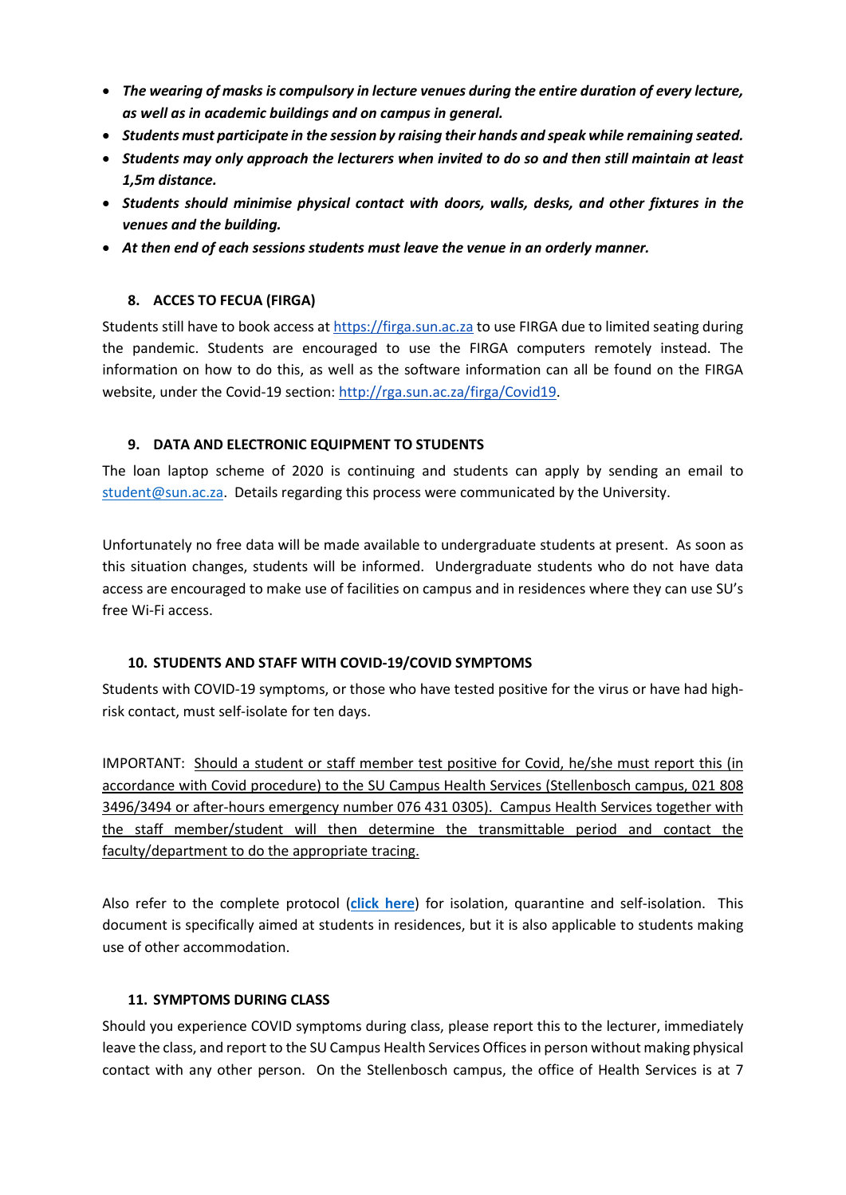- *The wearing of masks is compulsory in lecture venues during the entire duration of every lecture, as well as in academic buildings and on campus in general.*
- *Students must participate in the session by raising their hands and speak while remaining seated.*
- *Students may only approach the lecturers when invited to do so and then still maintain at least 1,5m distance.*
- *Students should minimise physical contact with doors, walls, desks, and other fixtures in the venues and the building.*
- *At then end of each sessions students must leave the venue in an orderly manner.*

## **8. ACCES TO FECUA (FIRGA)**

Students still have to book access a[t https://firga.sun.ac.za](https://eur03.safelinks.protection.outlook.com/?url=https%3A%2F%2Ffirga.sun.ac.za%2F&data=04%7C01%7C%7C92d6828094214e825aec08d8e236c48b%7Ca6fa3b030a3c42588433a120dffcd348%7C0%7C0%7C637508072182413834%7CUnknown%7CTWFpbGZsb3d8eyJWIjoiMC4wLjAwMDAiLCJQIjoiV2luMzIiLCJBTiI6Ik1haWwiLCJXVCI6Mn0%3D%7C1000&sdata=MsEH8Q%2Bl99HIXidRjFXilYBJMCVYYzP6sD2luMcXqZ4%3D&reserved=0) to use FIRGA due to limited seating during the pandemic. Students are encouraged to use the FIRGA computers remotely instead. The information on how to do this, as well as the software information can all be found on the FIRGA website, under the Covid-19 section: [http://rga.sun.ac.za/firga/Covid19.](https://eur03.safelinks.protection.outlook.com/?url=http%3A%2F%2Frga.sun.ac.za%2Ffirga%2FCovid19&data=04%7C01%7C%7C92d6828094214e825aec08d8e236c48b%7Ca6fa3b030a3c42588433a120dffcd348%7C0%7C0%7C637508072182413834%7CUnknown%7CTWFpbGZsb3d8eyJWIjoiMC4wLjAwMDAiLCJQIjoiV2luMzIiLCJBTiI6Ik1haWwiLCJXVCI6Mn0%3D%7C1000&sdata=x54YQBFxo7ePA3xJO4%2F6Vsjr8MJdgenasZwTWW1dXlM%3D&reserved=0)

## **9. DATA AND ELECTRONIC EQUIPMENT TO STUDENTS**

The loan laptop scheme of 2020 is continuing and students can apply by sending an email to [student@sun.ac.za.](mailto:student@sun.ac.za) Details regarding this process were communicated by the University.

Unfortunately no free data will be made available to undergraduate students at present. As soon as this situation changes, students will be informed. Undergraduate students who do not have data access are encouraged to make use of facilities on campus and in residences where they can use SU's free Wi-Fi access.

## **10. STUDENTS AND STAFF WITH COVID-19/COVID SYMPTOMS**

Students with COVID-19 symptoms, or those who have tested positive for the virus or have had highrisk contact, must self-isolate for ten days.

IMPORTANT: Should a student or staff member test positive for Covid, he/she must report this (in accordance with Covid procedure) to the SU Campus Health Services (Stellenbosch campus, 021 808 3496/3494 or after-hours emergency number 076 431 0305). Campus Health Services together with the staff member/student will then determine the transmittable period and contact the faculty/department to do the appropriate tracing.

Also refer to the complete protocol (**[click here](https://eur03.safelinks.protection.outlook.com/?url=http%3A%2F%2Fstellenbosch.evlink2.net%2Fservlet%2Flink%2F31499%2F138919%2F384848%2F1405335&data=04%7C01%7C%7Cd272adc9c4dc4b69d7e808d8d2964855%7Ca6fa3b030a3c42588433a120dffcd348%7C0%7C0%7C637490890199212673%7CUnknown%7CTWFpbGZsb3d8eyJWIjoiMC4wLjAwMDAiLCJQIjoiV2luMzIiLCJBTiI6Ik1haWwiLCJXVCI6Mn0%3D%7C1000&sdata=fKczsEiNqne20Ff9Aa8SwNoLa7wq27838ugFF4By7ag%3D&reserved=0)**) for isolation, quarantine and self-isolation. This document is specifically aimed at students in residences, but it is also applicable to students making use of other accommodation.

## **11. SYMPTOMS DURING CLASS**

Should you experience COVID symptoms during class, please report this to the lecturer, immediately leave the class, and report to the SU Campus Health Services Offices in person without making physical contact with any other person. On the Stellenbosch campus, the office of Health Services is at 7